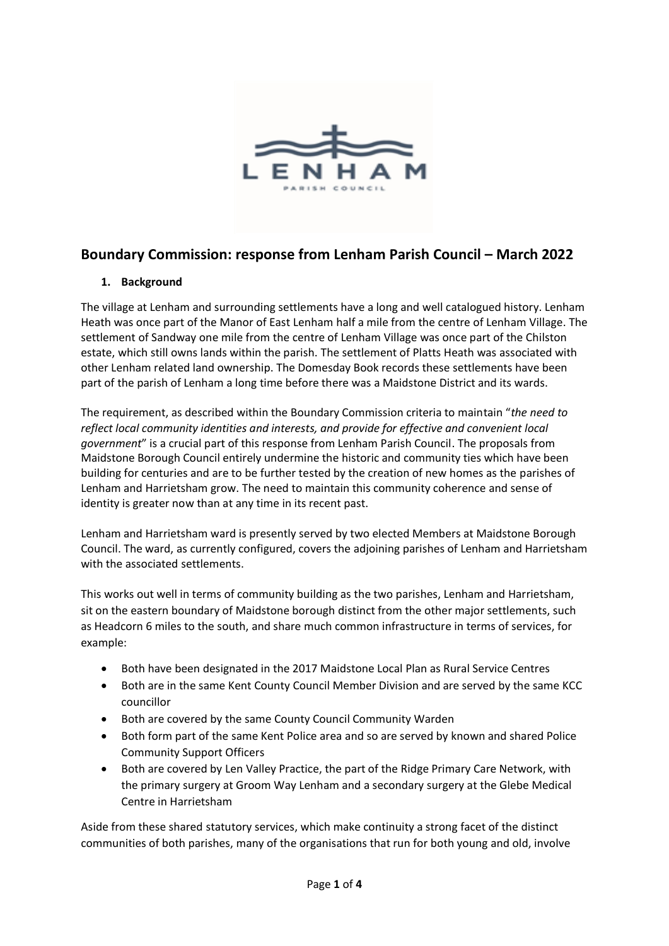

# **Boundary Commission: response from Lenham Parish Council – March 2022**

#### **1. Background**

The village at Lenham and surrounding settlements have a long and well catalogued history. Lenham Heath was once part of the Manor of East Lenham half a mile from the centre of Lenham Village. The settlement of Sandway one mile from the centre of Lenham Village was once part of the Chilston estate, which still owns lands within the parish. The settlement of Platts Heath was associated with other Lenham related land ownership. The Domesday Book records these settlements have been part of the parish of Lenham a long time before there was a Maidstone District and its wards.

The requirement, as described within the Boundary Commission criteria to maintain "*the need to reflect local community identities and interests, and provide for effective and convenient local government*" is a crucial part of this response from Lenham Parish Council. The proposals from Maidstone Borough Council entirely undermine the historic and community ties which have been building for centuries and are to be further tested by the creation of new homes as the parishes of Lenham and Harrietsham grow. The need to maintain this community coherence and sense of identity is greater now than at any time in its recent past.

Lenham and Harrietsham ward is presently served by two elected Members at Maidstone Borough Council. The ward, as currently configured, covers the adjoining parishes of Lenham and Harrietsham with the associated settlements.

This works out well in terms of community building as the two parishes, Lenham and Harrietsham, sit on the eastern boundary of Maidstone borough distinct from the other major settlements, such as Headcorn 6 miles to the south, and share much common infrastructure in terms of services, for example:

- Both have been designated in the 2017 Maidstone Local Plan as Rural Service Centres
- Both are in the same Kent County Council Member Division and are served by the same KCC councillor
- Both are covered by the same County Council Community Warden
- Both form part of the same Kent Police area and so are served by known and shared Police Community Support Officers
- Both are covered by Len Valley Practice, the part of the Ridge Primary Care Network, with the primary surgery at Groom Way Lenham and a secondary surgery at the Glebe Medical Centre in Harrietsham

Aside from these shared statutory services, which make continuity a strong facet of the distinct communities of both parishes, many of the organisations that run for both young and old, involve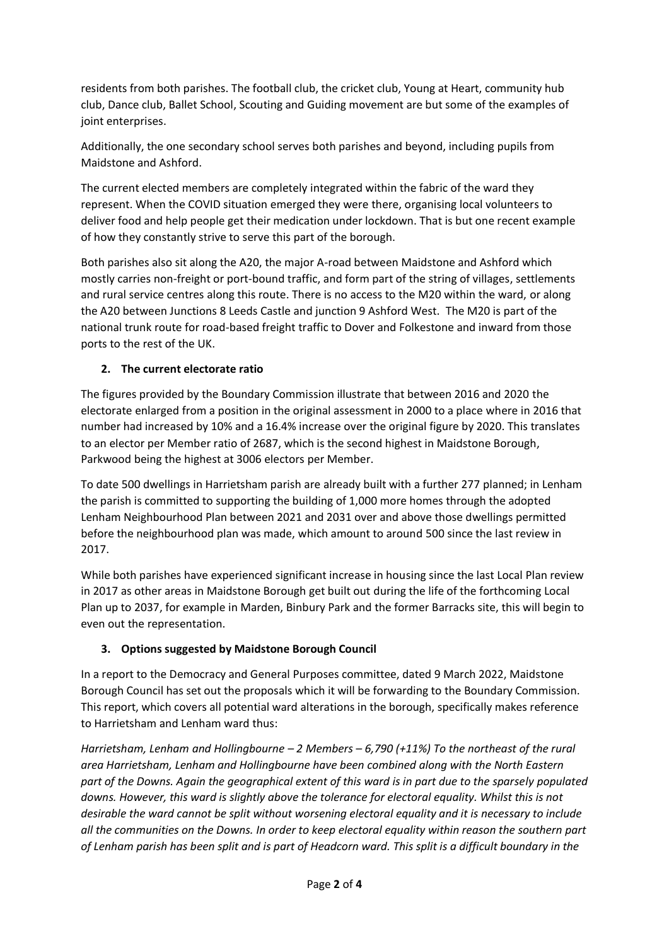residents from both parishes. The football club, the cricket club, Young at Heart, community hub club, Dance club, Ballet School, Scouting and Guiding movement are but some of the examples of joint enterprises.

Additionally, the one secondary school serves both parishes and beyond, including pupils from Maidstone and Ashford.

The current elected members are completely integrated within the fabric of the ward they represent. When the COVID situation emerged they were there, organising local volunteers to deliver food and help people get their medication under lockdown. That is but one recent example of how they constantly strive to serve this part of the borough.

Both parishes also sit along the A20, the major A-road between Maidstone and Ashford which mostly carries non-freight or port-bound traffic, and form part of the string of villages, settlements and rural service centres along this route. There is no access to the M20 within the ward, or along the A20 between Junctions 8 Leeds Castle and junction 9 Ashford West. The M20 is part of the national trunk route for road-based freight traffic to Dover and Folkestone and inward from those ports to the rest of the UK.

## **2. The current electorate ratio**

The figures provided by the Boundary Commission illustrate that between 2016 and 2020 the electorate enlarged from a position in the original assessment in 2000 to a place where in 2016 that number had increased by 10% and a 16.4% increase over the original figure by 2020. This translates to an elector per Member ratio of 2687, which is the second highest in Maidstone Borough, Parkwood being the highest at 3006 electors per Member.

To date 500 dwellings in Harrietsham parish are already built with a further 277 planned; in Lenham the parish is committed to supporting the building of 1,000 more homes through the adopted Lenham Neighbourhood Plan between 2021 and 2031 over and above those dwellings permitted before the neighbourhood plan was made, which amount to around 500 since the last review in 2017.

While both parishes have experienced significant increase in housing since the last Local Plan review in 2017 as other areas in Maidstone Borough get built out during the life of the forthcoming Local Plan up to 2037, for example in Marden, Binbury Park and the former Barracks site, this will begin to even out the representation.

## **3. Options suggested by Maidstone Borough Council**

In a report to the Democracy and General Purposes committee, dated 9 March 2022, Maidstone Borough Council has set out the proposals which it will be forwarding to the Boundary Commission. This report, which covers all potential ward alterations in the borough, specifically makes reference to Harrietsham and Lenham ward thus:

*Harrietsham, Lenham and Hollingbourne – 2 Members – 6,790 (+11%) To the northeast of the rural area Harrietsham, Lenham and Hollingbourne have been combined along with the North Eastern part of the Downs. Again the geographical extent of this ward is in part due to the sparsely populated downs. However, this ward is slightly above the tolerance for electoral equality. Whilst this is not desirable the ward cannot be split without worsening electoral equality and it is necessary to include all the communities on the Downs. In order to keep electoral equality within reason the southern part of Lenham parish has been split and is part of Headcorn ward. This split is a difficult boundary in the*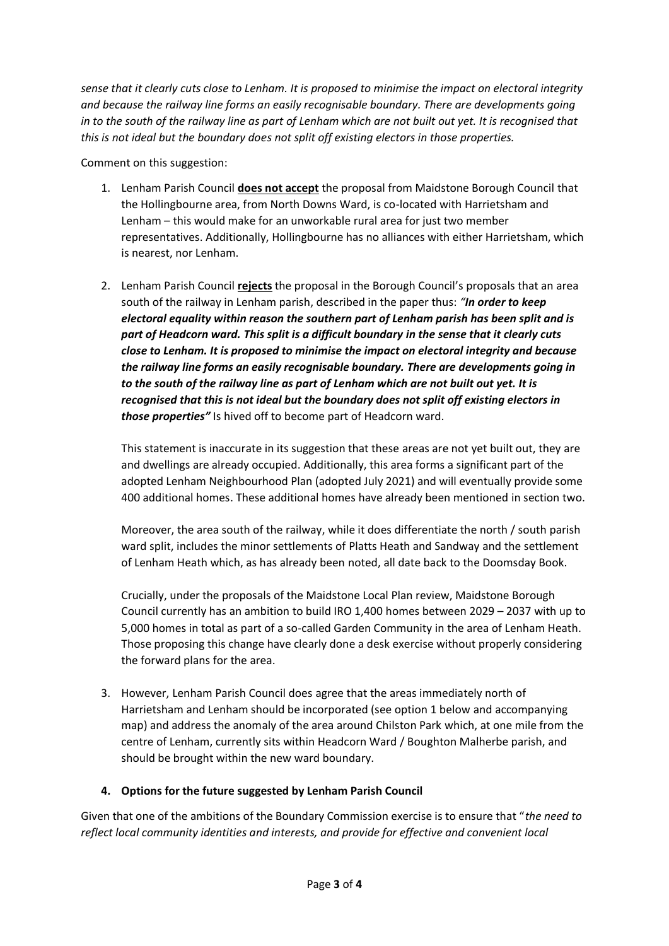*sense that it clearly cuts close to Lenham. It is proposed to minimise the impact on electoral integrity and because the railway line forms an easily recognisable boundary. There are developments going in to the south of the railway line as part of Lenham which are not built out yet. It is recognised that this is not ideal but the boundary does not split off existing electors in those properties.*

Comment on this suggestion:

- 1. Lenham Parish Council **does not accept** the proposal from Maidstone Borough Council that the Hollingbourne area, from North Downs Ward, is co-located with Harrietsham and Lenham – this would make for an unworkable rural area for just two member representatives. Additionally, Hollingbourne has no alliances with either Harrietsham, which is nearest, nor Lenham.
- 2. Lenham Parish Council **rejects** the proposal in the Borough Council's proposals that an area south of the railway in Lenham parish, described in the paper thus: *"In order to keep electoral equality within reason the southern part of Lenham parish has been split and is part of Headcorn ward. This split is a difficult boundary in the sense that it clearly cuts close to Lenham. It is proposed to minimise the impact on electoral integrity and because the railway line forms an easily recognisable boundary. There are developments going in to the south of the railway line as part of Lenham which are not built out yet. It is recognised that this is not ideal but the boundary does not split off existing electors in those properties"* Is hived off to become part of Headcorn ward.

This statement is inaccurate in its suggestion that these areas are not yet built out, they are and dwellings are already occupied. Additionally, this area forms a significant part of the adopted Lenham Neighbourhood Plan (adopted July 2021) and will eventually provide some 400 additional homes. These additional homes have already been mentioned in section two.

Moreover, the area south of the railway, while it does differentiate the north / south parish ward split, includes the minor settlements of Platts Heath and Sandway and the settlement of Lenham Heath which, as has already been noted, all date back to the Doomsday Book.

Crucially, under the proposals of the Maidstone Local Plan review, Maidstone Borough Council currently has an ambition to build IRO 1,400 homes between 2029 – 2037 with up to 5,000 homes in total as part of a so-called Garden Community in the area of Lenham Heath. Those proposing this change have clearly done a desk exercise without properly considering the forward plans for the area.

3. However, Lenham Parish Council does agree that the areas immediately north of Harrietsham and Lenham should be incorporated (see option 1 below and accompanying map) and address the anomaly of the area around Chilston Park which, at one mile from the centre of Lenham, currently sits within Headcorn Ward / Boughton Malherbe parish, and should be brought within the new ward boundary.

#### **4. Options for the future suggested by Lenham Parish Council**

Given that one of the ambitions of the Boundary Commission exercise is to ensure that "*the need to reflect local community identities and interests, and provide for effective and convenient local*